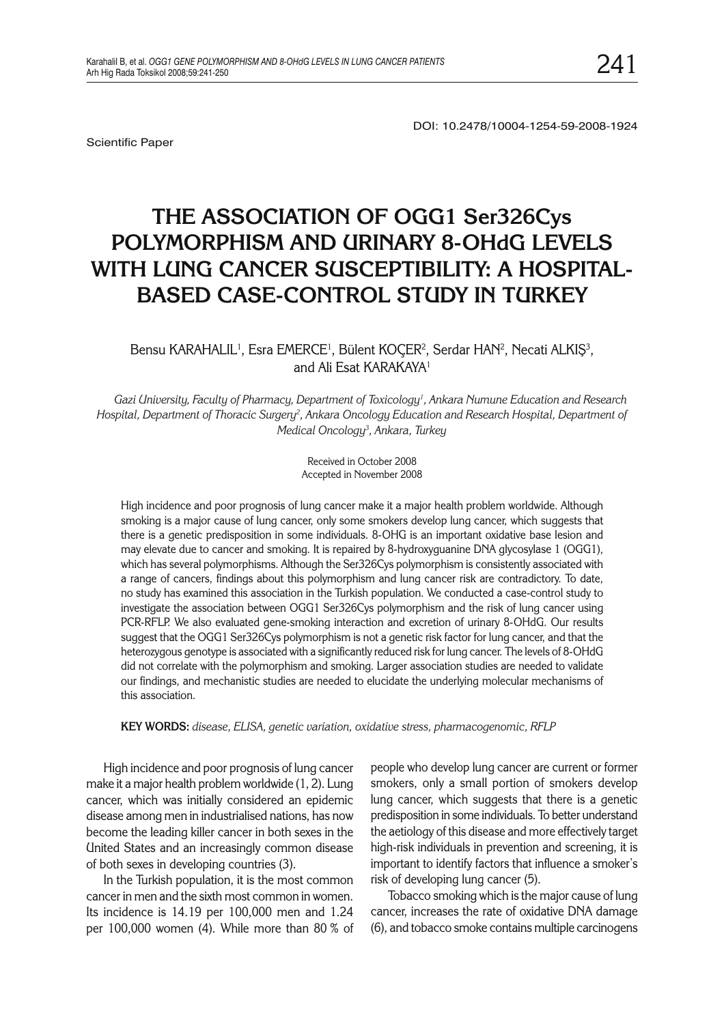Scientific Paper

DOI: 10.2478/10004-1254-59-2008-1924

# **THE ASSOCIATION OF OGG1 Ser326Cys POLYMORPHISM AND URINARY 8-OHdG LEVELS WITH LUNG CANCER SUSCEPTIBILITY: A HOSPITAL-BASED CASE-CONTROL STUDY IN TURKEY**

## Bensu KARAHALIL<sup>1</sup>, Esra EMERCE<sup>1</sup>, Bülent KOÇER<sup>2</sup>, Serdar HAN<sup>2</sup>, Necati ALKIŞ<sup>3</sup>, and Ali Esat KARAKAYA1

*Gazi University, Faculty of Pharmacy, Department of Toxicology1 , Ankara Numune Education and Research Hospital, Department of Thoracic Surgery2 , Ankara Oncology Education and Research Hospital, Department of Medical Oncology3 , Ankara, Turkey*

> Received in October 2008 Accepted in November 2008

High incidence and poor prognosis of lung cancer make it a major health problem worldwide. Although smoking is a major cause of lung cancer, only some smokers develop lung cancer, which suggests that there is a genetic predisposition in some individuals. 8-OHG is an important oxidative base lesion and may elevate due to cancer and smoking. It is repaired by 8-hydroxyguanine DNA glycosylase 1 (OGG1), which has several polymorphisms. Although the Ser326Cys polymorphism is consistently associated with a range of cancers, findings about this polymorphism and lung cancer risk are contradictory. To date, no study has examined this association in the Turkish population. We conducted a case-control study to investigate the association between OGG1 Ser326Cys polymorphism and the risk of lung cancer using PCR-RFLP. We also evaluated gene-smoking interaction and excretion of urinary 8-OHdG. Our results suggest that the OGG1 Ser326Cys polymorphism is not a genetic risk factor for lung cancer, and that the heterozygous genotype is associated with a significantly reduced risk for lung cancer. The levels of 8-OHdG did not correlate with the polymorphism and smoking. Larger association studies are needed to validate our findings, and mechanistic studies are needed to elucidate the underlying molecular mechanisms of this association.

**KEY WORDS:** *disease, ELISA, genetic variation, oxidative stress, pharmacogenomic, RFLP*

High incidence and poor prognosis of lung cancer make it a major health problem worldwide (1, 2). Lung cancer, which was initially considered an epidemic disease among men in industrialised nations, has now become the leading killer cancer in both sexes in the United States and an increasingly common disease of both sexes in developing countries (3).

In the Turkish population, it is the most common cancer in men and the sixth most common in women. Its incidence is 14.19 per 100,000 men and 1.24 per 100,000 women (4). While more than 80 % of

people who develop lung cancer are current or former smokers, only a small portion of smokers develop lung cancer, which suggests that there is a genetic predisposition in some individuals. To better understand the aetiology of this disease and more effectively target high-risk individuals in prevention and screening, it is important to identify factors that influence a smoker's risk of developing lung cancer (5).

Tobacco smoking which is the major cause of lung cancer, increases the rate of oxidative DNA damage (6), and tobacco smoke contains multiple carcinogens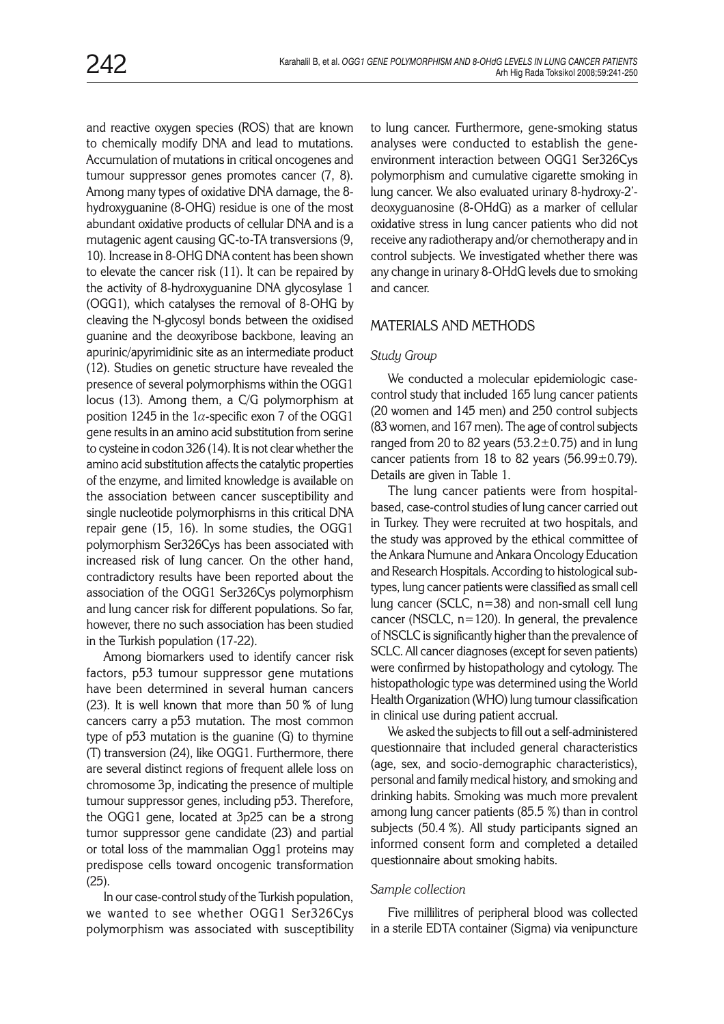and reactive oxygen species (ROS) that are known to chemically modify DNA and lead to mutations. Accumulation of mutations in critical oncogenes and tumour suppressor genes promotes cancer (7, 8). Among many types of oxidative DNA damage, the 8 hydroxyguanine (8-OHG) residue is one of the most abundant oxidative products of cellular DNA and is a mutagenic agent causing GC-to-TA transversions (9, 10). Increase in 8-OHG DNA content has been shown to elevate the cancer risk (11). It can be repaired by the activity of 8-hydroxyguanine DNA glycosylase 1 (OGG1), which catalyses the removal of 8-OHG by cleaving the N-glycosyl bonds between the oxidised guanine and the deoxyribose backbone, leaving an apurinic/apyrimidinic site as an intermediate product (12). Studies on genetic structure have revealed the presence of several polymorphisms within the OGG1 locus (13). Among them, a C/G polymorphism at position 1245 in the 1 $\alpha$ -specific exon 7 of the OGG1 gene results in an amino acid substitution from serine to cysteine in codon 326 (14). It is not clear whether the amino acid substitution affects the catalytic properties of the enzyme, and limited knowledge is available on the association between cancer susceptibility and single nucleotide polymorphisms in this critical DNA repair gene (15, 16). In some studies, the OGG1 polymorphism Ser326Cys has been associated with increased risk of lung cancer. On the other hand, contradictory results have been reported about the association of the OGG1 Ser326Cys polymorphism and lung cancer risk for different populations. So far, however, there no such association has been studied in the Turkish population (17-22).

Among biomarkers used to identify cancer risk factors, p53 tumour suppressor gene mutations have been determined in several human cancers (23). It is well known that more than 50 % of lung cancers carry a p53 mutation. The most common type of p53 mutation is the guanine (G) to thymine (T) transversion (24), like OGG1. Furthermore, there are several distinct regions of frequent allele loss on chromosome 3p, indicating the presence of multiple tumour suppressor genes, including p53. Therefore, the OGG1 gene, located at 3p25 can be a strong tumor suppressor gene candidate (23) and partial or total loss of the mammalian Ogg1 proteins may predispose cells toward oncogenic transformation (25).

In our case-control study of the Turkish population, we wanted to see whether OGG1 Ser326Cys polymorphism was associated with susceptibility to lung cancer. Furthermore, gene-smoking status analyses were conducted to establish the geneenvironment interaction between OGG1 Ser326Cys polymorphism and cumulative cigarette smoking in lung cancer. We also evaluated urinary 8-hydroxy-2' deoxyguanosine (8-OHdG) as a marker of cellular oxidative stress in lung cancer patients who did not receive any radiotherapy and/or chemotherapy and in control subjects. We investigated whether there was any change in urinary 8-OHdG levels due to smoking and cancer.

## MATERIALS AND METHODS

## *Study Group*

We conducted a molecular epidemiologic casecontrol study that included 165 lung cancer patients (20 women and 145 men) and 250 control subjects (83 women, and 167 men). The age of control subjects ranged from 20 to 82 years ( $53.2 \pm 0.75$ ) and in lung cancer patients from 18 to 82 years  $(56.99 \pm 0.79)$ . Details are given in Table 1.

The lung cancer patients were from hospitalbased, case-control studies of lung cancer carried out in Turkey. They were recruited at two hospitals, and the study was approved by the ethical committee of the Ankara Numune and Ankara Oncology Education and Research Hospitals. According to histological subtypes, lung cancer patients were classified as small cell lung cancer (SCLC, n=38) and non-small cell lung cancer (NSCLC,  $n=120$ ). In general, the prevalence of NSCLC is significantly higher than the prevalence of SCLC. All cancer diagnoses (except for seven patients) were confirmed by histopathology and cytology. The histopathologic type was determined using the World Health Organization (WHO) lung tumour classification in clinical use during patient accrual.

We asked the subjects to fill out a self-administered questionnaire that included general characteristics (age, sex, and socio-demographic characteristics), personal and family medical history, and smoking and drinking habits. Smoking was much more prevalent among lung cancer patients (85.5 %) than in control subjects (50.4 %). All study participants signed an informed consent form and completed a detailed questionnaire about smoking habits.

#### *Sample collection*

Five millilitres of peripheral blood was collected in a sterile EDTA container (Sigma) via venipuncture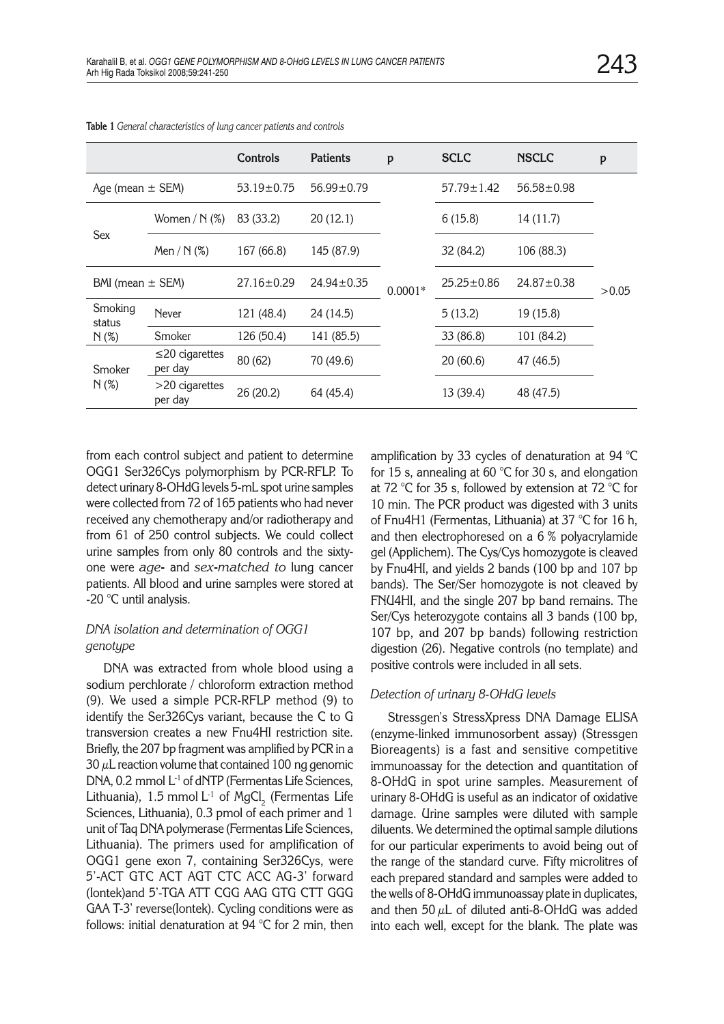|                      |                                 | <b>Controls</b>  | <b>Patients</b>  | p         | <b>SCLC</b>      | <b>NSCLC</b>     | p     |  |
|----------------------|---------------------------------|------------------|------------------|-----------|------------------|------------------|-------|--|
| Age (mean $\pm$ SEM) |                                 | $53.19 \pm 0.75$ | $56.99 \pm 0.79$ |           | $57.79 \pm 1.42$ | $56.58 \pm 0.98$ |       |  |
| <b>Sex</b>           | Women / $N$ (%)                 | 83 (33.2)        | 20(12.1)         |           | 6(15.8)          | 14(11.7)         |       |  |
|                      | Men / $N$ (%)                   | 167 (66.8)       | 145 (87.9)       |           | 32 (84.2)        | 106 (88.3)       |       |  |
| BMI (mean $\pm$ SEM) |                                 | 27.16±0.29       | $24.94 \pm 0.35$ | $0.0001*$ | $25.25 \pm 0.86$ | $24.87 \pm 0.38$ | >0.05 |  |
| Smoking<br>status    | <b>Never</b>                    | 121 (48.4)       | 24 (14.5)        |           | 5(13.2)          | 19 (15.8)        |       |  |
| N(%)                 | Smoker                          | 126 (50.4)       | 141 (85.5)       |           | 33 (86.8)        | 101 (84.2)       |       |  |
| Smoker<br>N(%)       | $\leq$ 20 cigarettes<br>per day | 80 (62)          | 70 (49.6)        |           | 20(60.6)         | 47 (46.5)        |       |  |
|                      | $>$ 20 cigarettes<br>per day    | 26(20.2)         | 64 (45.4)        |           | 13 (39.4)        | 48 (47.5)        |       |  |

**Table 1** *General characteristics of lung cancer patients and controls* 

from each control subject and patient to determine OGG1 Ser326Cys polymorphism by PCR-RFLP. To detect urinary 8-OHdG levels 5-mL spot urine samples were collected from 72 of 165 patients who had never received any chemotherapy and/or radiotherapy and from 61 of 250 control subjects. We could collect urine samples from only 80 controls and the sixtyone were *age***-** and *sex***-***matched to* lung cancer patients. All blood and urine samples were stored at -20 °C until analysis.

## *DNA isolation and determination of OGG1 genotype*

DNA was extracted from whole blood using a sodium perchlorate / chloroform extraction method (9). We used a simple PCR-RFLP method (9) to identify the Ser326Cys variant, because the C to G transversion creates a new Fnu4HI restriction site. Briefly, the 207 bp fragment was amplified by PCR in a  $30 \mu$ L reaction volume that contained 100 ng genomic DNA, 0.2 mmol L<sup>-1</sup> of dNTP (Fermentas Life Sciences, Lithuania), 1.5 mmol L $^{\text{-}1}$  of MgCl $_{\text{2}}$  (Fermentas Life Sciences, Lithuania), 0.3 pmol of each primer and 1 unit of Taq DNA polymerase (Fermentas Life Sciences, Lithuania). The primers used for amplification of OGG1 gene exon 7, containing Ser326Cys, were 5'-ACT GTC ACT AGT CTC ACC AG-3' forward (Iontek)and 5'-TGA ATT CGG AAG GTG CTT GGG GAA T-3' reverse(Iontek). Cycling conditions were as follows: initial denaturation at 94 °C for 2 min, then

amplification by 33 cycles of denaturation at 94 °C for 15 s, annealing at 60 °C for 30 s, and elongation at 72 °C for 35 s, followed by extension at 72 °C for 10 min. The PCR product was digested with 3 units of Fnu4H1 (Fermentas, Lithuania) at 37 °C for 16 h, and then electrophoresed on a 6 % polyacrylamide gel (Applichem). The Cys/Cys homozygote is cleaved by Fnu4HI, and yields 2 bands (100 bp and 107 bp bands). The Ser/Ser homozygote is not cleaved by FNU4HI, and the single 207 bp band remains. The Ser/Cys heterozygote contains all 3 bands (100 bp, 107 bp, and 207 bp bands) following restriction digestion (26). Negative controls (no template) and positive controls were included in all sets.

#### *Detection of urinary 8-OHdG levels*

Stressgen's StressXpress DNA Damage ELISA (enzyme-linked immunosorbent assay) (Stressgen Bioreagents) is a fast and sensitive competitive immunoassay for the detection and quantitation of 8-OHdG in spot urine samples. Measurement of urinary 8-OHdG is useful as an indicator of oxidative damage. Urine samples were diluted with sample diluents. We determined the optimal sample dilutions for our particular experiments to avoid being out of the range of the standard curve. Fifty microlitres of each prepared standard and samples were added to the wells of 8-OHdG immunoassay plate in duplicates, and then 50  $\mu$ L of diluted anti-8-OHdG was added into each well, except for the blank. The plate was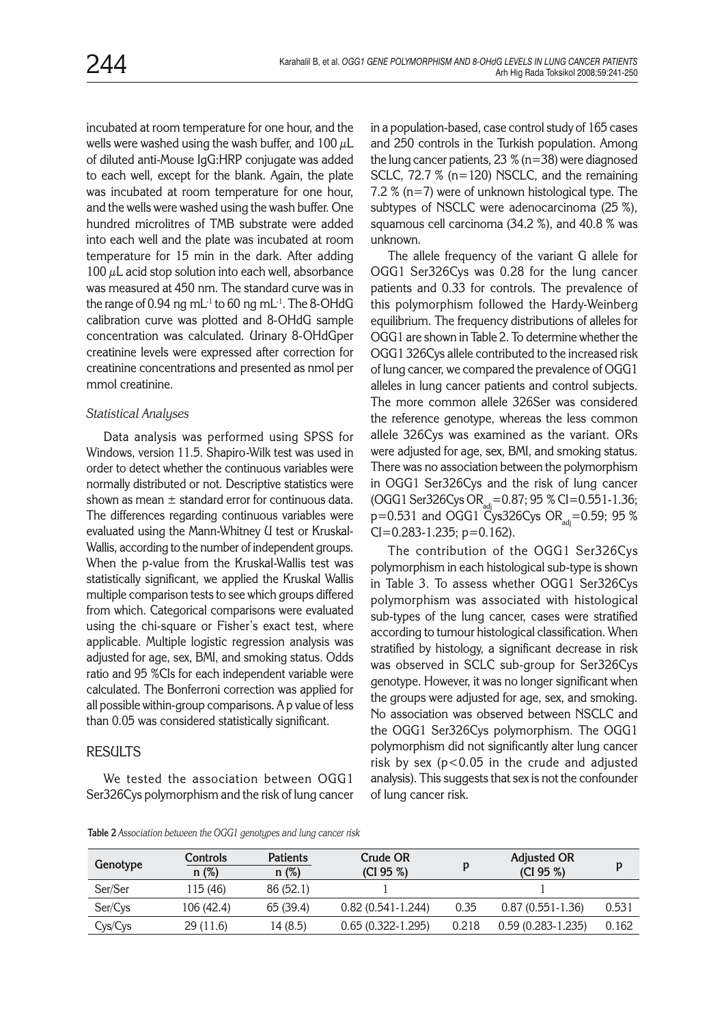incubated at room temperature for one hour, and the wells were washed using the wash buffer, and 100  $\mu$ L of diluted anti-Mouse IgG:HRP conjugate was added to each well, except for the blank. Again, the plate was incubated at room temperature for one hour, and the wells were washed using the wash buffer. One hundred microlitres of TMB substrate were added into each well and the plate was incubated at room temperature for 15 min in the dark. After adding 100  $\mu$ L acid stop solution into each well, absorbance was measured at 450 nm. The standard curve was in the range of 0.94 ng mL $^{-1}$  to 60 ng mL $^{-1}$ . The 8-OHdG calibration curve was plotted and 8-OHdG sample concentration was calculated. Urinary 8-OHdGper creatinine levels were expressed after correction for creatinine concentrations and presented as nmol per mmol creatinine.

#### *Statistical Analyses*

Data analysis was performed using SPSS for Windows, version 11.5. Shapiro-Wilk test was used in order to detect whether the continuous variables were normally distributed or not. Descriptive statistics were shown as mean  $\pm$  standard error for continuous data. The differences regarding continuous variables were evaluated using the Mann-Whitney U test or Kruskal-Wallis, according to the number of independent groups. When the p-value from the Kruskal-Wallis test was statistically significant, we applied the Kruskal Wallis multiple comparison tests to see which groups differed from which. Categorical comparisons were evaluated using the chi-square or Fisher's exact test, where applicable. Multiple logistic regression analysis was adjusted for age, sex, BMI, and smoking status. Odds ratio and 95 %CIs for each independent variable were calculated. The Bonferroni correction was applied for all possible within-group comparisons. A p value of less than 0.05 was considered statistically significant.

## **RESULTS**

We tested the association between OGG1 Ser326Cys polymorphism and the risk of lung cancer in a population-based, case control study of 165 cases and 250 controls in the Turkish population. Among the lung cancer patients,  $23 \%$  (n=38) were diagnosed SCLC, 72.7 % (n=120) NSCLC, and the remaining 7.2 % (n=7) were of unknown histological type. The subtypes of NSCLC were adenocarcinoma (25 %), squamous cell carcinoma (34.2 %), and 40.8 % was unknown.

The allele frequency of the variant G allele for OGG1 Ser326Cys was 0.28 for the lung cancer patients and 0.33 for controls. The prevalence of this polymorphism followed the Hardy-Weinberg equilibrium. The frequency distributions of alleles for OGG1 are shown in Table 2. To determine whether the OGG1 326Cys allele contributed to the increased risk of lung cancer, we compared the prevalence of OGG1 alleles in lung cancer patients and control subjects. The more common allele 326Ser was considered the reference genotype, whereas the less common allele 326Cys was examined as the variant. ORs were adjusted for age, sex, BMI, and smoking status. There was no association between the polymorphism in OGG1 Ser326Cys and the risk of lung cancer (OGG1 Ser326Cys OR<sub>adi</sub>=0.87; 95 % CI=0.551-1.36;  $p=0.531$  and OGG1 Cys326Cys OR<sub>adi</sub>=0.59; 95 %  $Cl = 0.283 - 1.235$ ; p=0.162).

The contribution of the OGG1 Ser326Cys polymorphism in each histological sub-type is shown in Table 3. To assess whether OGG1 Ser326Cys polymorphism was associated with histological sub-types of the lung cancer, cases were stratified according to tumour histological classification. When stratified by histology, a significant decrease in risk was observed in SCLC sub-group for Ser326Cys genotype. However, it was no longer significant when the groups were adjusted for age, sex, and smoking. No association was observed between NSCLC and the OGG1 Ser326Cys polymorphism. The OGG1 polymorphism did not significantly alter lung cancer risk by sex ( $p < 0.05$  in the crude and adjusted analysis). This suggests that sex is not the confounder of lung cancer risk.

**Table 2** *Association between the OGG1 genotypes and lung cancer risk* 

| Genotype | Controls<br>n(%) | <b>Patients</b><br>n(%) | <b>Crude OR</b><br>(CI 95 % | <b>Adjusted OR</b><br>(CI 95 % |                       | D     |
|----------|------------------|-------------------------|-----------------------------|--------------------------------|-----------------------|-------|
| Ser/Ser  | 115 (46)         | 86 (52.1)               |                             |                                |                       |       |
| Ser/Cys  | 106 (42.4)       | 65 (39.4)               | $0.82(0.541-1.244)$         | 0.35                           | $0.87(0.551-1.36)$    | 0.531 |
| Cys/Cys  | 29(11.6)         | 14 (8.5)                | $0.65(0.322 - 1.295)$       | 0.218                          | $0.59(0.283 - 1.235)$ | 0.162 |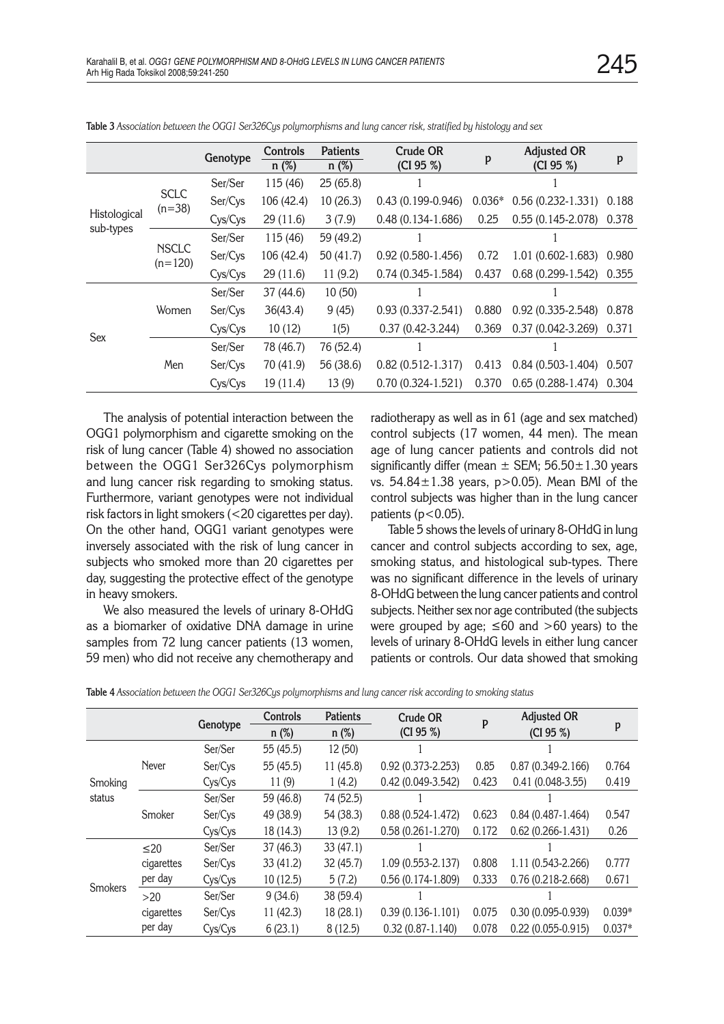|              |                           | Genotype | Controls<br>n(%) | <b>Patients</b><br>$n$ (%) | <b>Crude OR</b><br>(CI 95 %) | p        | <b>Adjusted OR</b><br>(CI 95 %) | p     |
|--------------|---------------------------|----------|------------------|----------------------------|------------------------------|----------|---------------------------------|-------|
|              |                           | Ser/Ser  | 115 (46)         | 25(65.8)                   |                              |          |                                 |       |
|              | <b>SCLC</b><br>$(n=38)$   | Ser/Cys  | 106 (42.4)       | 10(26.3)                   | $0.43(0.199 - 0.946)$        | $0.036*$ | $0.56(0.232 - 1.331)$           | 0.188 |
| Histological |                           | Cys/Cys  | 29(11.6)         | 3(7.9)                     | $0.48(0.134 - 1.686)$        | 0.25     | $0.55(0.145-2.078)$             | 0.378 |
| sub-types    | <b>NSCLC</b><br>$(n=120)$ | Ser/Ser  | 115 (46)         | 59 (49.2)                  |                              |          |                                 |       |
|              |                           | Ser/Cys  | 106 (42.4)       | 50(41.7)                   | $0.92(0.580-1.456)$          | 0.72     | $1.01(0.602 - 1.683)$           | 0.980 |
|              |                           | Cys/Cys  | 29(11.6)         | 11(9.2)                    | $0.74(0.345-1.584)$          | 0.437    | $0.68(0.299-1.542)$             | 0.355 |
|              | Women                     | Ser/Ser  | 37 (44.6)        | 10(50)                     |                              |          |                                 |       |
|              |                           | Ser/Cys  | 36(43.4)         | 9(45)                      | $0.93(0.337 - 2.541)$        | 0.880    | $0.92(0.335 - 2.548)$           | 0.878 |
|              |                           | Cys/Cys  | 10(12)           | 1(5)                       | $0.37(0.42 - 3.244)$         | 0.369    | $0.37(0.042 - 3.269)$           | 0.371 |
| Sex          | Men                       | Ser/Ser  | 78 (46.7)        | 76 (52.4)                  |                              |          |                                 |       |
|              |                           | Ser/Cys  | 70 (41.9)        | 56 (38.6)                  | $0.82(0.512-1.317)$          | 0.413    | $0.84(0.503-1.404)$             | 0.507 |
|              |                           | Cys/Cys  | 19 (11.4)        | 13(9)                      | $0.70(0.324-1.521)$          | 0.370    | $0.65(0.288-1.474)$             | 0.304 |

**Table 3** *Association between the OGG1 Ser326Cys polymorphisms and lung cancer risk, stratified by histology and sex*

The analysis of potential interaction between the OGG1 polymorphism and cigarette smoking on the risk of lung cancer (Table 4) showed no association between the OGG1 Ser326Cys polymorphism and lung cancer risk regarding to smoking status. Furthermore, variant genotypes were not individual risk factors in light smokers (<20 cigarettes per day). On the other hand, OGG1 variant genotypes were inversely associated with the risk of lung cancer in subjects who smoked more than 20 cigarettes per day, suggesting the protective effect of the genotype in heavy smokers.

We also measured the levels of urinary 8-OHdG as a biomarker of oxidative DNA damage in urine samples from 72 lung cancer patients (13 women, 59 men) who did not receive any chemotherapy and

radiotherapy as well as in 61 (age and sex matched) control subjects (17 women, 44 men). The mean age of lung cancer patients and controls did not significantly differ (mean  $\pm$  SEM; 56.50 $\pm$ 1.30 years vs. 54.84±1.38 years, p>0.05). Mean BMI of the control subjects was higher than in the lung cancer patients  $(p<0.05)$ .

Table 5 shows the levels of urinary 8-OHdG in lung cancer and control subjects according to sex, age, smoking status, and histological sub-types. There was no significant difference in the levels of urinary 8-OHdG between the lung cancer patients and control subjects. Neither sex nor age contributed (the subjects were grouped by age;  $\leq 60$  and  $> 60$  years) to the levels of urinary 8-OHdG levels in either lung cancer patients or controls. Our data showed that smoking

| Table 4 Association between the OGG1 Ser326Cys polymorphisms and lung cancer risk according to smoking status |  |  |
|---------------------------------------------------------------------------------------------------------------|--|--|
|                                                                                                               |  |  |

|         |              |          | Controls  | <b>Patients</b> | Crude OR              | P     | <b>Adjusted OR</b>    |          |  |
|---------|--------------|----------|-----------|-----------------|-----------------------|-------|-----------------------|----------|--|
|         |              | Genotype | $n(\%)$   | $n(\%)$         | (CI 95 %              |       | (CI 95 %)             | p        |  |
|         |              | Ser/Ser  | 55 (45.5) | 12 (50)         |                       |       |                       |          |  |
|         | <b>Never</b> | Ser/Cys  | 55 (45.5) | 11(45.8)        | 0.92 (0.373-2.253)    | 0.85  | $0.87(0.349 - 2.166)$ | 0.764    |  |
| Smoking |              | Cys/Cys  | 11(9)     | 1(4.2)          | 0.42 (0.049-3.542)    | 0.423 | $0.41(0.048-3.55)$    | 0.419    |  |
| status  | Smoker       | Ser/Ser  | 59 (46.8) | 74 (52.5)       |                       |       |                       |          |  |
|         |              | Ser/Cys  | 49 (38.9) | 54 (38.3)       | $0.88(0.524-1.472)$   | 0.623 | $0.84(0.487-1.464)$   | 0.547    |  |
|         |              | Cys/Cys  | 18 (14.3) | 13(9.2)         | $0.58(0.261 - 1.270)$ | 0.172 | $0.62(0.266 - 1.431)$ | 0.26     |  |
|         | $\leq 20$    | Ser/Ser  | 37 (46.3) | 33(47.1)        |                       |       |                       |          |  |
|         | cigarettes   | Ser/Cys  | 33 (41.2) | 32(45.7)        | 1.09 (0.553-2.137)    | 0.808 | 1.11 (0.543-2.266)    | 0.777    |  |
|         | per day      | Cys/Cys  | 10(12.5)  | 5(7.2)          | $0.56(0.174-1.809)$   | 0.333 | $0.76(0.218-2.668)$   | 0.671    |  |
| Smokers | $>20$        | Ser/Ser  | 9(34.6)   | 38 (59.4)       |                       |       |                       |          |  |
|         | cigarettes   | Ser/Cys  | 11(42.3)  | 18(28.1)        | $0.39(0.136-1.101)$   | 0.075 | $0.30(0.095 - 0.939)$ | $0.039*$ |  |
|         | per day      | Cys/Cys  | 6(23.1)   | 8(12.5)         | $0.32(0.87-1.140)$    | 0.078 | $0.22(0.055 - 0.915)$ | $0.037*$ |  |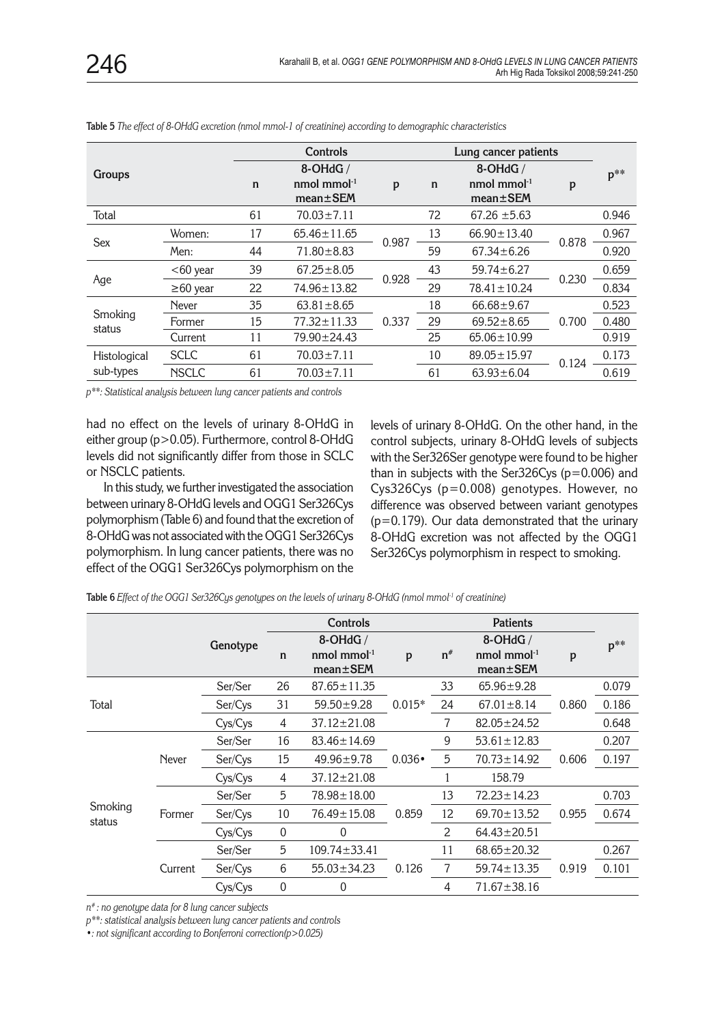|                   |                |             | Controls                                     |       |             |                                                 |       |        |
|-------------------|----------------|-------------|----------------------------------------------|-------|-------------|-------------------------------------------------|-------|--------|
| <b>Groups</b>     |                | $\mathbf n$ | 8-OHdG /<br>nmol mmol $-1$<br>$mean \pm SEM$ | p     | $\mathbf n$ | 8-OHdG /<br>nmol mmol $^{-1}$<br>$mean \pm SEM$ | p     | $p^**$ |
| Total             |                | 61          | $70.03 \pm 7.11$                             |       | 72          | 67.26 $\pm$ 5.63                                |       | 0.946  |
| <b>Sex</b>        | Women:         | 17          | $65.46 \pm 11.65$                            | 0.987 | 13          | $66.90 \pm 13.40$                               | 0.878 | 0.967  |
|                   | Men:           | 44          | $71.80 \pm 8.83$                             |       | 59          | $67.34 \pm 6.26$                                |       | 0.920  |
|                   | $<$ 60 year    | 39          | $67.25 \pm 8.05$                             | 0.928 | 43          | $59.74 \pm 6.27$                                | 0.230 | 0.659  |
| Age               | $\geq 60$ year | 22          | 74.96 ± 13.82                                |       | 29          | $78.41 \pm 10.24$                               |       | 0.834  |
|                   | <b>Never</b>   | 35          | $63.81 \pm 8.65$                             |       | 18          | $66.68 \pm 9.67$                                |       | 0.523  |
| Smoking<br>status | Former         | 15          | $77.32 \pm 11.33$                            | 0.337 | 29          | $69.52 \pm 8.65$                                | 0.700 | 0.480  |
|                   | Current        | 11          | 79.90 ± 24.43                                |       | 25          | $65.06 \pm 10.99$                               |       | 0.919  |
| Histological      | <b>SCLC</b>    | 61          | $70.03 \pm 7.11$                             |       | 10          | $89.05 \pm 15.97$                               | 0.124 | 0.173  |
| sub-types         | <b>NSCLC</b>   | 61          | $70.03 \pm 7.11$                             |       | 61          | $63.93 \pm 6.04$                                |       | 0.619  |

**Table 5** *The effect of 8-OHdG excretion (nmol mmol-1 of creatinine) according to demographic characteristics* 

*p\*\*: Statistical analysis between lung cancer patients and controls*

had no effect on the levels of urinary 8-OHdG in either group (p>0.05). Furthermore, control 8-OHdG levels did not significantly differ from those in SCLC or NSCLC patients.

In this study, we further investigated the association between urinary 8-OHdG levels and OGG1 Ser326Cys polymorphism (Table 6) and found that the excretion of 8-OHdG was not associated with the OGG1 Ser326Cys polymorphism. In lung cancer patients, there was no effect of the OGG1 Ser326Cys polymorphism on the

levels of urinary 8-OHdG. On the other hand, in the control subjects, urinary 8-OHdG levels of subjects with the Ser326Ser genotype were found to be higher than in subjects with the Ser326Cys ( $p=0.006$ ) and Cys326Cys (p=0.008) genotypes. However, no difference was observed between variant genotypes  $(p=0.179)$ . Our data demonstrated that the urinary 8-OHdG excretion was not affected by the OGG1 Ser326Cys polymorphism in respect to smoking.

|                   |              |          |                  | <b>Controls</b>                  |               |       | <b>Patients</b>               |       |        |
|-------------------|--------------|----------|------------------|----------------------------------|---------------|-------|-------------------------------|-------|--------|
|                   |              | Genotype | n                | $8$ -OHdG /<br>nmol mmol $^{-1}$ | p             | $n^*$ | $8$ -OHdG /<br>nmol mmol $-1$ | p     | $p^**$ |
|                   |              |          |                  | $mean \pm SEM$                   |               |       | $mean \pm SEM$                |       |        |
|                   |              | Ser/Ser  | 26               | $87.65 \pm 11.35$                |               | 33    | $65.96 \pm 9.28$              |       | 0.079  |
| Total             |              | Ser/Cys  | 31               | $59.50 \pm 9.28$                 | $0.015*$      | 24    | $67.01 \pm 8.14$              | 0.860 | 0.186  |
|                   |              | Cys/Cys  | 4                | 37.12±21.08                      |               | 7     | 82.05±24.52                   |       | 0.648  |
|                   |              | Ser/Ser  | 16               | $83.46 \pm 14.69$                |               | 9     | $53.61 \pm 12.83$             | 0.606 | 0.207  |
|                   | <b>Never</b> | Ser/Cys  | 15               | $49.96 \pm 9.78$                 | $0.036 \cdot$ | 5     | $70.73 \pm 14.92$             |       | 0.197  |
|                   |              | Cys/Cys  | 4                | $37.12 \pm 21.08$                |               | 1     | 158.79                        |       |        |
|                   |              | Ser/Ser  | 5                | $78.98 \pm 18.00$                |               | 13    | $72.23 \pm 14.23$             |       | 0.703  |
| Smoking<br>status | Former       | Ser/Cys  | 10               | $76.49 \pm 15.08$                | 0.859         | 12    | $69.70 \pm 13.52$             | 0.955 | 0.674  |
|                   |              | Cys/Cys  | $\boldsymbol{0}$ | $\theta$                         |               | 2     | $64.43 \pm 20.51$             |       |        |
|                   |              | Ser/Ser  | 5                | $109.74 \pm 33.41$               |               | 11    | $68.65 \pm 20.32$             |       | 0.267  |
|                   | Current      | Ser/Cys  | 6                | $55.03 \pm 34.23$                | 0.126         | 7     | $59.74 \pm 13.35$             | 0.919 | 0.101  |
|                   |              | Cys/Cys  | $\boldsymbol{0}$ | 0                                |               | 4     | $71.67 \pm 38.16$             |       |        |

**Table 6** *Effect of the OGG1 Ser326Cys genotypes on the levels of urinary 8-OHdG (nmol mmol-1 of creatinine)*

*n# : no genotype data for 8 lung cancer subjects*

*p\*\*: statistical analysis between lung cancer patients and controls*

*•: not significant according to Bonferroni correction(p>0.025)*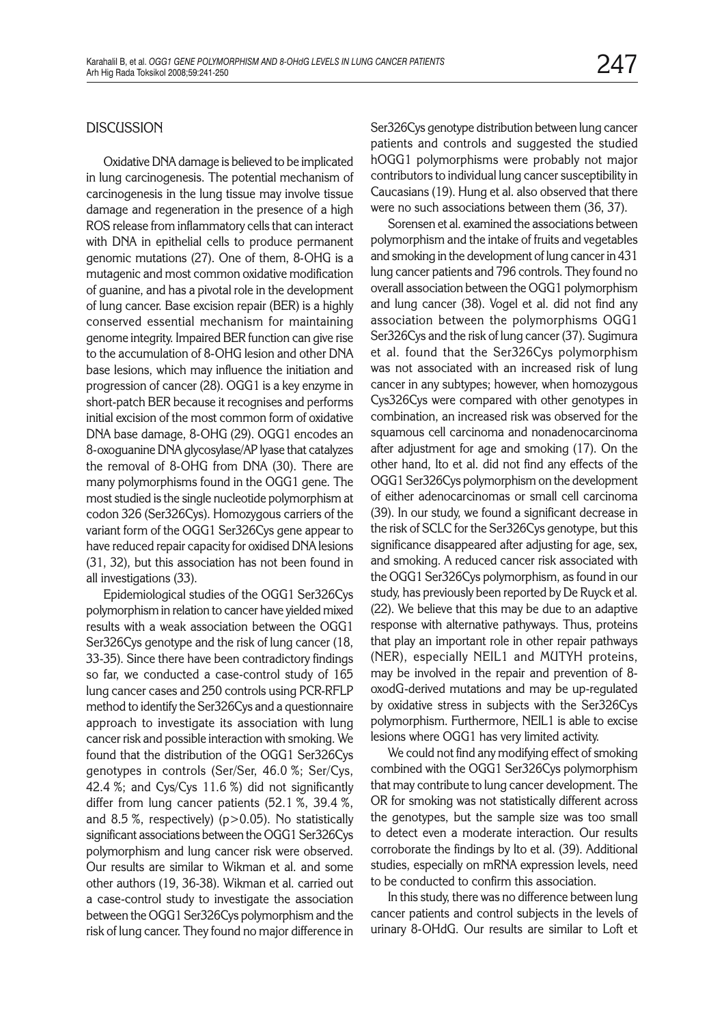### **DISCUSSION**

Oxidative DNA damage is believed to be implicated in lung carcinogenesis. The potential mechanism of carcinogenesis in the lung tissue may involve tissue damage and regeneration in the presence of a high ROS release from inflammatory cells that can interact with DNA in epithelial cells to produce permanent genomic mutations (27). One of them, 8-OHG is a mutagenic and most common oxidative modification of guanine, and has a pivotal role in the development of lung cancer. Base excision repair (BER) is a highly conserved essential mechanism for maintaining genome integrity. Impaired BER function can give rise to the accumulation of 8-OHG lesion and other DNA base lesions, which may influence the initiation and progression of cancer (28). OGG1 is a key enzyme in short-patch BER because it recognises and performs initial excision of the most common form of oxidative DNA base damage, 8-OHG (29). OGG1 encodes an 8-oxoguanine DNA glycosylase/AP lyase that catalyzes the removal of 8-OHG from DNA (30). There are many polymorphisms found in the OGG1 gene. The most studied is the single nucleotide polymorphism at codon 326 (Ser326Cys). Homozygous carriers of the variant form of the OGG1 Ser326Cys gene appear to have reduced repair capacity for oxidised DNA lesions (31, 32), but this association has not been found in all investigations (33).

Epidemiological studies of the OGG1 Ser326Cys polymorphism in relation to cancer have yielded mixed results with a weak association between the OGG1 Ser326Cys genotype and the risk of lung cancer (18, 33-35). Since there have been contradictory findings so far, we conducted a case-control study of 165 lung cancer cases and 250 controls using PCR-RFLP method to identify the Ser326Cys and a questionnaire approach to investigate its association with lung cancer risk and possible interaction with smoking. We found that the distribution of the OGG1 Ser326Cys genotypes in controls (Ser/Ser, 46.0 %; Ser/Cys, 42.4 %; and Cys/Cys 11.6 %) did not significantly differ from lung cancer patients (52.1 %, 39.4 %, and 8.5 %, respectively) (p>0.05). No statistically significant associations between the OGG1 Ser326Cys polymorphism and lung cancer risk were observed. Our results are similar to Wikman et al. and some other authors (19, 36-38). Wikman et al. carried out a case-control study to investigate the association between the OGG1 Ser326Cys polymorphism and the risk of lung cancer. They found no major difference in Ser326Cys genotype distribution between lung cancer patients and controls and suggested the studied hOGG1 polymorphisms were probably not major contributors to individual lung cancer susceptibility in Caucasians (19). Hung et al. also observed that there were no such associations between them (36, 37).

Sorensen et al. examined the associations between polymorphism and the intake of fruits and vegetables and smoking in the development of lung cancer in 431 lung cancer patients and 796 controls. They found no overall association between the OGG1 polymorphism and lung cancer (38). Vogel et al. did not find any association between the polymorphisms OGG1 Ser326Cys and the risk of lung cancer (37). Sugimura et al. found that the Ser326Cys polymorphism was not associated with an increased risk of lung cancer in any subtypes; however, when homozygous Cys326Cys were compared with other genotypes in combination, an increased risk was observed for the squamous cell carcinoma and nonadenocarcinoma after adjustment for age and smoking (17). On the other hand, Ito et al. did not find any effects of the OGG1 Ser326Cys polymorphism on the development of either adenocarcinomas or small cell carcinoma (39). In our study, we found a significant decrease in the risk of SCLC for the Ser326Cys genotype, but this significance disappeared after adjusting for age, sex, and smoking. A reduced cancer risk associated with the OGG1 Ser326Cys polymorphism, as found in our study, has previously been reported by De Ruyck et al. (22). We believe that this may be due to an adaptive response with alternative pathyways. Thus, proteins that play an important role in other repair pathways (NER), especially NEIL1 and MUTYH proteins, may be involved in the repair and prevention of 8 oxodG-derived mutations and may be up-regulated by oxidative stress in subjects with the Ser326Cys polymorphism. Furthermore, NEIL1 is able to excise lesions where OGG1 has very limited activity.

We could not find any modifying effect of smoking combined with the OGG1 Ser326Cys polymorphism that may contribute to lung cancer development. The OR for smoking was not statistically different across the genotypes, but the sample size was too small to detect even a moderate interaction. Our results corroborate the findings by Ito et al. (39). Additional studies, especially on mRNA expression levels, need to be conducted to confirm this association.

In this study, there was no difference between lung cancer patients and control subjects in the levels of urinary 8-OHdG. Our results are similar to Loft et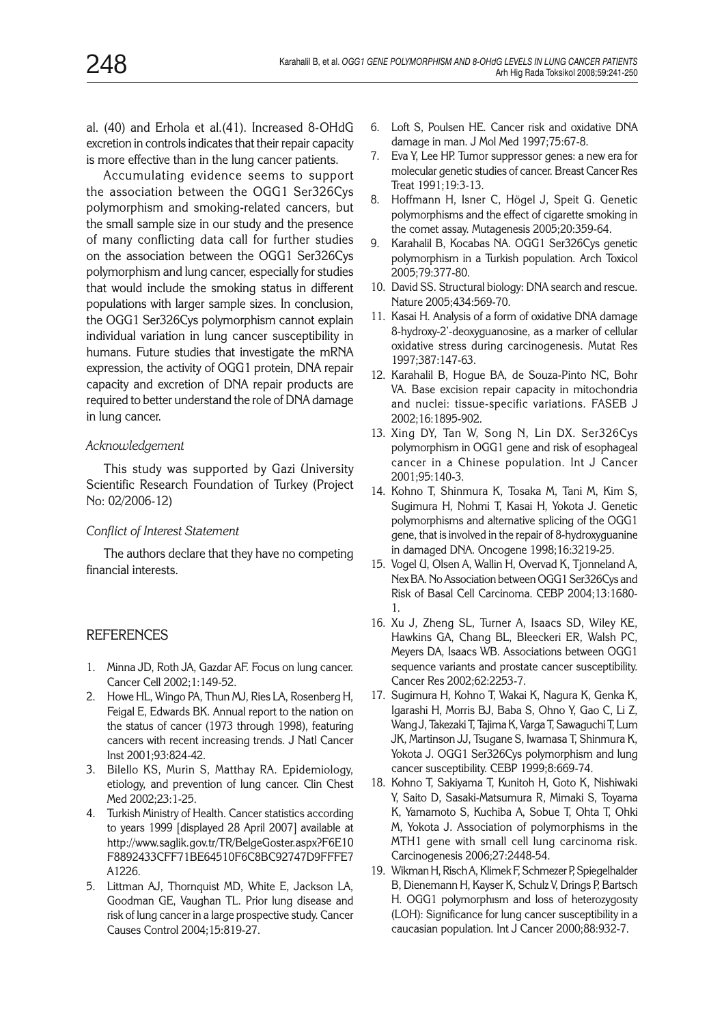al. (40) and Erhola et al.(41). Increased 8-OHdG excretion in controls indicates that their repair capacity is more effective than in the lung cancer patients.

Accumulating evidence seems to support the association between the OGG1 Ser326Cys polymorphism and smoking-related cancers, but the small sample size in our study and the presence of many conflicting data call for further studies on the association between the OGG1 Ser326Cys polymorphism and lung cancer, especially for studies that would include the smoking status in different populations with larger sample sizes. In conclusion, the OGG1 Ser326Cys polymorphism cannot explain individual variation in lung cancer susceptibility in humans. Future studies that investigate the mRNA expression, the activity of OGG1 protein, DNA repair capacity and excretion of DNA repair products are required to better understand the role of DNA damage in lung cancer.

#### *Acknowledgement*

This study was supported by Gazi University Scientific Research Foundation of Turkey (Project No: 02/2006-12)

## *Conflict of Interest Statement*

The authors declare that they have no competing financial interests.

## **REFERENCES**

- 1. Minna JD, Roth JA, Gazdar AF. Focus on lung cancer. Cancer Cell 2002;1:149-52.
- 2. Howe HL, Wingo PA, Thun MJ, Ries LA, Rosenberg H, Feigal E, Edwards BK. Annual report to the nation on the status of cancer (1973 through 1998), featuring cancers with recent increasing trends. J Natl Cancer Inst 2001;93:824-42.
- 3. Bilello KS, Murin S, Matthay RA. Epidemiology, etiology, and prevention of lung cancer. Clin Chest Med 2002;23:1-25.
- 4. Turkish Ministry of Health. Cancer statistics according to years 1999 [displayed 28 April 2007] available at http://www.saglik.gov.tr/TR/BelgeGoster.aspx?F6E10 F8892433CFF71BE64510F6C8BC92747D9FFFE7 A1226.
- 5. Littman AJ, Thornquist MD, White E, Jackson LA, Goodman GE, Vaughan TL. Prior lung disease and risk of lung cancer in a large prospective study. Cancer Causes Control 2004;15:819-27.
- 6. Loft S, Poulsen HE. Cancer risk and oxidative DNA damage in man. J Mol Med 1997;75:67-8.
- 7. Eva Y, Lee HP. Tumor suppressor genes: a new era for molecular genetic studies of cancer. Breast Cancer Res Treat 1991;19:3-13.
- 8. Hoffmann H, Isner C, Högel J, Speit G. Genetic polymorphisms and the effect of cigarette smoking in the comet assay. Mutagenesis 2005;20:359-64.
- 9. Karahalil B, Kocabas NA. OGG1 Ser326Cys genetic polymorphism in a Turkish population. Arch Toxicol 2005;79:377-80.
- 10. David SS. Structural biology: DNA search and rescue. Nature 2005;434:569-70.
- 11. Kasai H. Analysis of a form of oxidative DNA damage 8-hydroxy-2'-deoxyguanosine, as a marker of cellular oxidative stress during carcinogenesis. Mutat Res 1997;387:147-63.
- 12. Karahalil B, Hogue BA, de Souza-Pinto NC, Bohr VA. Base excision repair capacity in mitochondria and nuclei: tissue-specific variations. FASEB J 2002;16:1895-902.
- 13. Xing DY, Tan W, Song N, Lin DX. Ser326Cys polymorphism in OGG1 gene and risk of esophageal cancer in a Chinese population. Int J Cancer 2001;95:140-3.
- 14. Kohno T, Shinmura K, Tosaka M, Tani M, Kim S, Sugimura H, Nohmi T, Kasai H, Yokota J. Genetic polymorphisms and alternative splicing of the OGG1 gene, that is involved in the repair of 8-hydroxyguanine in damaged DNA. Oncogene 1998;16:3219-25.
- 15. Vogel U, Olsen A, Wallin H, Overvad K, Tjonneland A, Nex BA. No Association between OGG1 Ser326Cys and Risk of Basal Cell Carcinoma. CEBP 2004;13:1680- 1.
- 16. Xu J, Zheng SL, Turner A, Isaacs SD, Wiley KE, Hawkins GA, Chang BL, Bleeckeri ER, Walsh PC, Meyers DA, Isaacs WB. Associations between OGG1 sequence variants and prostate cancer susceptibility. Cancer Res 2002;62:2253-7.
- 17. Sugimura H, Kohno T, Wakai K, Nagura K, Genka K, Igarashi H, Morris BJ, Baba S, Ohno Y, Gao C, Li Z, Wang J, Takezaki T, Tajima K, Varga T, Sawaguchi T, Lum JK, Martinson JJ, Tsugane S, Iwamasa T, Shinmura K, Yokota J. OGG1 Ser326Cys polymorphism and lung cancer susceptibility. CEBP 1999;8:669-74.
- 18. Kohno T, Sakiyama T, Kunitoh H, Goto K, Nishiwaki Y, Saito D, Sasaki-Matsumura R, Mimaki S, Toyama K, Yamamoto S, Kuchiba A, Sobue T, Ohta T, Ohki M, Yokota J. Association of polymorphisms in the MTH1 gene with small cell lung carcinoma risk. Carcinogenesis 2006;27:2448-54.
- 19. Wikman H, Risch A, Klimek F, Schmezer P, Spiegelhalder B, Dienemann H, Kayser K, Schulz V, Drings P, Bartsch H. OGG1 polymorphısm and loss of heterozygosıty (LOH): Significance for lung cancer susceptibility in a caucasian population. Int J Cancer 2000;88:932-7.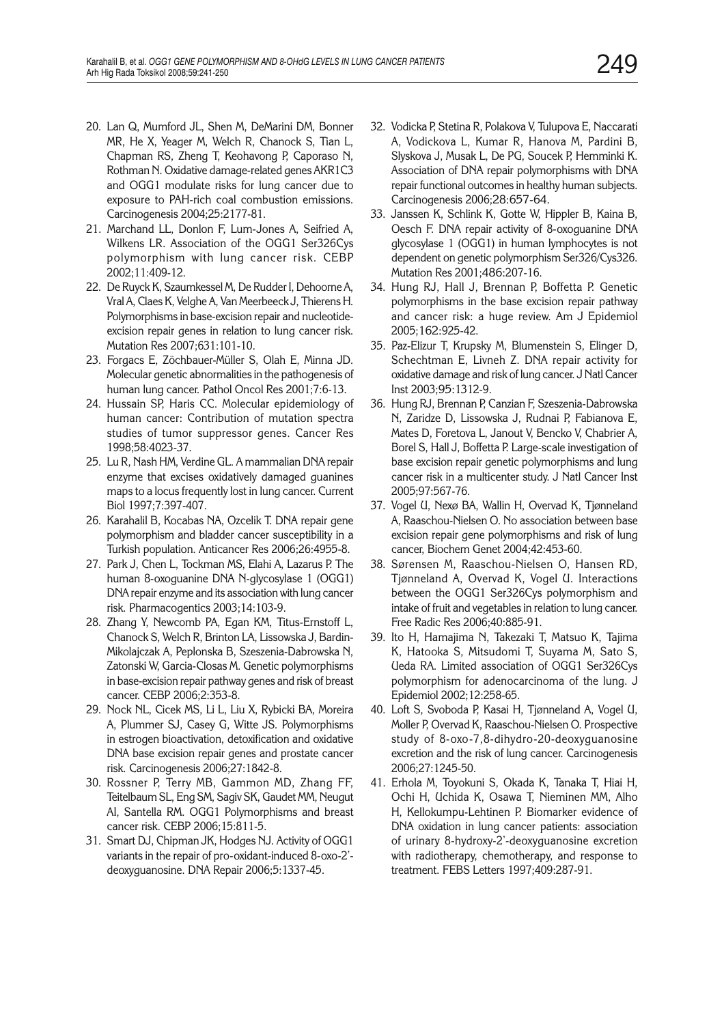- 20. Lan Q, Mumford JL, Shen M, DeMarini DM, Bonner MR, He X, Yeager M, Welch R, Chanock S, Tian L, Chapman RS, Zheng T, Keohavong P, Caporaso N, Rothman N. Oxidative damage-related genes AKR1C3 and OGG1 modulate risks for lung cancer due to exposure to PAH-rich coal combustion emissions. Carcinogenesis 2004;25:2177-81.
- 21. Marchand LL, Donlon F, Lum-Jones A, Seifried A, Wilkens LR. Association of the OGG1 Ser326Cys polymorphism with lung cancer risk. CEBP 2002;11:409-12.
- 22. De Ruyck K, Szaumkessel M, De Rudder I, Dehoorne A, Vral A, Claes K, Velghe A, Van Meerbeeck J, Thierens H. Polymorphisms in base-excision repair and nucleotideexcision repair genes in relation to lung cancer risk. Mutation Res 2007;631:101-10.
- 23. Forgacs E, Zöchbauer-Müller S, Olah E, Minna JD. Molecular genetic abnormalities in the pathogenesis of human lung cancer. Pathol Oncol Res 2001;7:6-13.
- 24. Hussain SP, Haris CC. Molecular epidemiology of human cancer: Contribution of mutation spectra studies of tumor suppressor genes. Cancer Res 1998;58:4023-37.
- 25. Lu R, Nash HM, Verdine GL. A mammalian DNA repair enzyme that excises oxidatively damaged guanines maps to a locus frequently lost in lung cancer. Current Biol 1997;7:397-407.
- 26. Karahalil B, Kocabas NA, Ozcelik T. DNA repair gene polymorphism and bladder cancer susceptibility in a Turkish population. Anticancer Res 2006;26:4955-8.
- 27. Park J, Chen L, Tockman MS, Elahi A, Lazarus P. The human 8-oxoguanine DNA N-glycosylase 1 (OGG1) DNA repair enzyme and its association with lung cancer risk. Pharmacogentics 2003;14:103-9.
- 28. Zhang Y, Newcomb PA, Egan KM, Titus-Ernstoff L, Chanock S, Welch R, Brinton LA, Lissowska J, Bardin-Mikolajczak A, Peplonska B, Szeszenia-Dabrowska N, Zatonski W, Garcia-Closas M. Genetic polymorphisms in base-excision repair pathway genes and risk of breast cancer. CEBP 2006;2:353-8.
- 29. Nock NL, Cicek MS, Li L, Liu X, Rybicki BA, Moreira A, Plummer SJ, Casey G, Witte JS. Polymorphisms in estrogen bioactivation, detoxification and oxidative DNA base excision repair genes and prostate cancer risk. Carcinogenesis 2006;27:1842-8.
- 30. Rossner P, Terry MB, Gammon MD, Zhang FF, Teitelbaum SL, Eng SM, Sagiv SK, Gaudet MM, Neugut AI, Santella RM. OGG1 Polymorphisms and breast cancer risk. CEBP 2006;15:811-5.
- 31. Smart DJ, Chipman JK, Hodges NJ. Activity of OGG1 variants in the repair of pro-oxidant-induced 8-oxo-2' deoxyguanosine. DNA Repair 2006;5:1337-45.
- 32. Vodicka P, Stetina R, Polakova V, Tulupova E, Naccarati A, Vodickova L, Kumar R, Hanova M, Pardini B, Slyskova J, Musak L, De PG, Soucek P, Hemminki K. Association of DNA repair polymorphisms with DNA repair functional outcomes in healthy human subjects. Carcinogenesis 2006;28:657-64.
- 33. Janssen K, Schlink K, Gotte W, Hippler B, Kaina B, Oesch F. DNA repair activity of 8-oxoguanine DNA glycosylase 1 (OGG1) in human lymphocytes is not dependent on genetic polymorphism Ser326/Cys326. Mutation Res 2001;486:207-16.
- 34. Hung RJ, Hall J, Brennan P, Boffetta P. Genetic polymorphisms in the base excision repair pathway and cancer risk: a huge review. Am J Epidemiol 2005;162:925-42.
- 35. Paz-Elizur T, Krupsky M, Blumenstein S, Elinger D, Schechtman E, Livneh Z. DNA repair activity for oxidative damage and risk of lung cancer. J Natl Cancer Inst 2003;95:1312-9.
- 36. Hung RJ, Brennan P, Canzian F, Szeszenia-Dabrowska N, Zaridze D, Lissowska J, Rudnai P, Fabianova E, Mates D, Foretova L, Janout V, Bencko V, Chabrier A, Borel S, Hall J, Boffetta P. Large-scale investigation of base excision repair genetic polymorphisms and lung cancer risk in a multicenter study. J Natl Cancer Inst 2005;97:567-76.
- 37. Vogel U, Nexø BA, Wallin H, Overvad K, Tjønneland A, Raaschou-Nielsen O. No association between base excision repair gene polymorphisms and risk of lung cancer, Biochem Genet 2004;42:453-60.
- 38. Sørensen M, Raaschou-Nielsen O, Hansen RD, Tjønneland A, Overvad K, Vogel U. Interactions between the OGG1 Ser326Cys polymorphism and intake of fruit and vegetables in relation to lung cancer. Free Radic Res 2006;40:885-91.
- 39. Ito H, Hamajima N, Takezaki T, Matsuo K, Tajima K, Hatooka S, Mitsudomi T, Suyama M, Sato S, Ueda RA. Limited association of OGG1 Ser326Cys polymorphism for adenocarcinoma of the lung. J Epidemiol 2002;12:258-65.
- 40. Loft S, Svoboda P, Kasai H, Tjønneland A, Vogel U, Moller P, Overvad K, Raaschou-Nielsen O. Prospective study of 8-oxo-7,8-dihydro-20-deoxyguanosine excretion and the risk of lung cancer. Carcinogenesis 2006;27:1245-50.
- 41. Erhola M, Toyokuni S, Okada K, Tanaka T, Hiai H, Ochi H, Uchida K, Osawa T, Nieminen MM, Alho H, Kellokumpu-Lehtinen P. Biomarker evidence of DNA oxidation in lung cancer patients: association of urinary 8-hydroxy-2'-deoxyguanosine excretion with radiotherapy, chemotherapy, and response to treatment. FEBS Letters 1997;409:287-91.